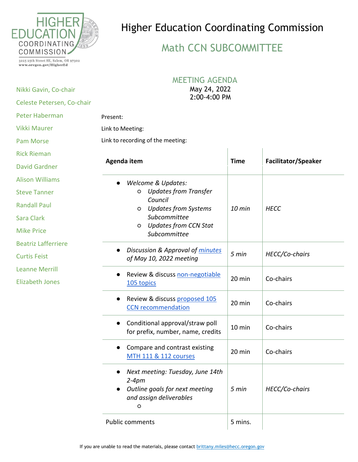

## Higher Education Coordinating Commission

## Math CCN SUBCOMMITTEE

3225 25th Street SE, Salem, OR 97302 www.oregon.gov/HigherEd

Nikki Gavin, Co-chair

## MEETING AGENDA

May 24, 2022 2:00-4:00 PM

| Celeste Petersen, Co-chair |                                                                                                                     |             |                            |
|----------------------------|---------------------------------------------------------------------------------------------------------------------|-------------|----------------------------|
| <b>Peter Haberman</b>      | Present:                                                                                                            |             |                            |
| <b>Vikki Maurer</b>        | Link to Meeting:                                                                                                    |             |                            |
| <b>Pam Morse</b>           | Link to recording of the meeting:                                                                                   |             |                            |
| <b>Rick Rieman</b>         |                                                                                                                     |             |                            |
| <b>David Gardner</b>       | Agenda item                                                                                                         | <b>Time</b> | <b>Facilitator/Speaker</b> |
| <b>Alison Williams</b>     | <b>Welcome &amp; Updates:</b>                                                                                       |             |                            |
| <b>Steve Tanner</b>        | <b>Updates from Transfer</b><br>$\circ$                                                                             |             |                            |
| <b>Randall Paul</b>        | Council<br><b>Updates from Systems</b><br>O                                                                         | 10 min      | <b>HECC</b>                |
| Sara Clark                 | Subcommittee                                                                                                        |             |                            |
| <b>Mike Price</b>          | <b>Updates from CCN Stat</b><br>O<br>Subcommittee                                                                   |             |                            |
| <b>Beatriz Lafferriere</b> | Discussion & Approval of minutes                                                                                    |             |                            |
| <b>Curtis Feist</b>        | of May 10, 2022 meeting                                                                                             | 5 min       | HECC/Co-chairs             |
| <b>Leanne Merrill</b>      | Review & discuss non-negotiable<br>$\bullet$                                                                        |             |                            |
| <b>Elizabeth Jones</b>     | 105 topics                                                                                                          | 20 min      | Co-chairs                  |
|                            | Review & discuss proposed 105<br><b>CCN</b> recommendation                                                          | 20 min      | Co-chairs                  |
|                            | Conditional approval/straw poll<br>for prefix, number, name, credits                                                | 10 min      | Co-chairs                  |
|                            | Compare and contrast existing<br><b>MTH 111 &amp; 112 courses</b>                                                   | 20 min      | Co-chairs                  |
|                            | Next meeting: Tuesday, June 14th<br>$2-4pm$<br>Outline goals for next meeting<br>and assign deliverables<br>$\circ$ | 5 min       | HECC/Co-chairs             |
|                            | <b>Public comments</b>                                                                                              | 5 mins.     |                            |